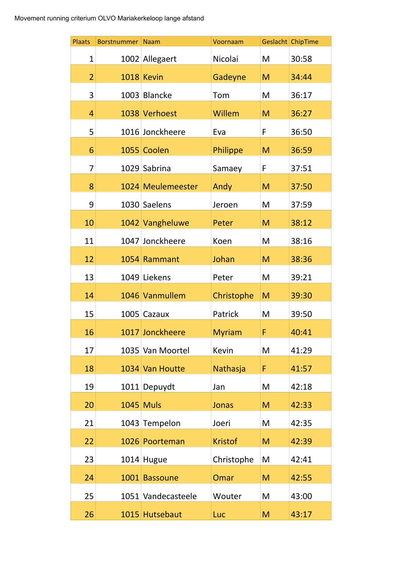| <b>Plaats</b>  | <b>Borstnummer</b> | <b>Naam</b>        | Voornaam       |   | Geslacht ChipTime |
|----------------|--------------------|--------------------|----------------|---|-------------------|
| 1              |                    | 1002 Allegaert     | Nicolai        | M | 30:58             |
| $\overline{2}$ |                    | 1018 Kevin         | Gadeyne        | M | 34:44             |
| 3              |                    | 1003 Blancke       | Tom            | M | 36:17             |
| 4              |                    | 1038 Verhoest      | Willem         | M | 36:27             |
| 5              |                    | 1016 Jonckheere    | Eva            | F | 36:50             |
| 6              |                    | 1055 Coolen        | Philippe       | M | 36:59             |
| 7              |                    | 1029 Sabrina       | Samaey         | F | 37:51             |
| 8              |                    | 1024 Meulemeester  | Andy           | M | 37:50             |
| 9              |                    | 1030 Saelens       | Jeroen         | M | 37:59             |
| 10             |                    | 1042 Vangheluwe    | Peter          | M | 38:12             |
| 11             |                    | 1047 Jonckheere    | Koen           | M | 38:16             |
| 12             |                    | 1054 Rammant       | Johan          | M | 38:36             |
| 13             |                    | 1049 Liekens       | Peter          | M | 39:21             |
| 14             |                    | 1046 Vanmullem     | Christophe     | M | 39:30             |
| 15             |                    | 1005 Cazaux        | Patrick        | M | 39:50             |
| 16             |                    | 1017 Jonckheere    | <b>Myriam</b>  | F | 40:41             |
| 17             |                    | 1035 Van Moortel   | Kevin          | M | 41:29             |
| 18             |                    | 1034 Van Houtte    | Nathasja       | F | 41:57             |
| 19             |                    | 1011 Depuydt       | Jan            | M | 42:18             |
| 20             |                    | <b>1045 Muls</b>   | <b>Jonas</b>   | M | 42:33             |
| 21             |                    | 1043 Tempelon      | Joeri          | M | 42:35             |
| 22             |                    | 1026 Poorteman     | <b>Kristof</b> | M | 42:39             |
| 23             |                    | $1014$ Hugue       | Christophe     | M | 42:41             |
| 24             |                    | 1001 Bassoune      | Omar           | M | 42:55             |
| 25             |                    | 1051 Vandecasteele | Wouter         | M | 43:00             |
| 26             |                    | 1015 Hutsebaut     | Luc            | M | 43:17             |